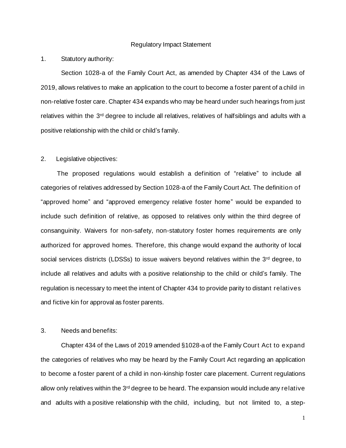#### Regulatory Impact Statement

1. Statutory authority:

Section 1028-a of the Family Court Act, as amended by Chapter 434 of the Laws of 2019, allows relatives to make an application to the court to become a foster parent of a child in non-relative foster care. Chapter 434 expands who may be heard under such hearings from just relatives within the 3<sup>rd</sup> degree to include all relatives, relatives of halfsiblings and adults with a positive relationship with the child or child's family.

#### 2. Legislative objectives:

 The proposed regulations would establish a definition of "relative" to include all categories of relatives addressed by Section 1028-a of the Family Court Act. The definition of "approved home" and "approved emergency relative foster home" would be expanded to include such definition of relative, as opposed to relatives only within the third degree of consanguinity. Waivers for non-safety, non-statutory foster homes requirements are only authorized for approved homes. Therefore, this change would expand the authority of local social services districts (LDSSs) to issue waivers beyond relatives within the 3<sup>rd</sup> degree, to include all relatives and adults with a positive relationship to the child or child's family. The regulation is necessary to meet the intent of Chapter 434 to provide parity to distant relatives and fictive kin for approval as foster parents.

#### 3. Needs and benefits:

Chapter 434 of the Laws of 2019 amended §1028-a of the Family Court Act to expand the categories of relatives who may be heard by the Family Court Act regarding an application to become a foster parent of a child in non-kinship foster care placement. Current regulations allow only relatives within the 3<sup>rd</sup> degree to be heard. The expansion would include any relative and adults with a positive relationship with the child, including, but not limited to, a step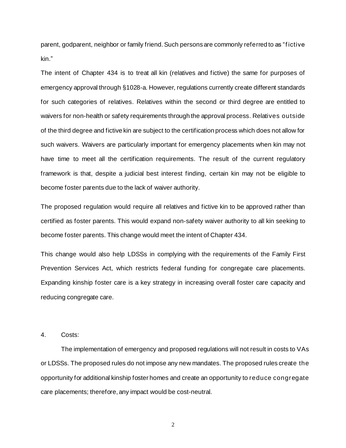parent, godparent, neighbor or family friend. Such persons are commonly referred to as "f ictive kin."

The intent of Chapter 434 is to treat all kin (relatives and fictive) the same for purposes of emergency approval through §1028-a. However, regulations currently create different standards for such categories of relatives. Relatives within the second or third degree are entitled to waivers for non-health or safety requirements through the approval process. Relatives outside of the third degree and fictive kin are subject to the certification process which does not allow for such waivers. Waivers are particularly important for emergency placements when kin may not have time to meet all the certification requirements. The result of the current regulatory framework is that, despite a judicial best interest finding, certain kin may not be eligible to become foster parents due to the lack of waiver authority.

The proposed regulation would require all relatives and fictive kin to be approved rather than certified as foster parents. This would expand non-safety waiver authority to all kin seeking to become foster parents. This change would meet the intent of Chapter 434.

This change would also help LDSSs in complying with the requirements of the Family First Prevention Services Act, which restricts federal funding for congregate care placements. Expanding kinship foster care is a key strategy in increasing overall foster care capacity and reducing congregate care.

4. Costs:

The implementation of emergency and proposed regulations will not result in costs to VAs or LDSSs. The proposed rules do not impose any new mandates. The proposed rules create the opportunity for additional kinship foster homes and create an opportunity to reduce congregate care placements; therefore, any impact would be cost-neutral.

2